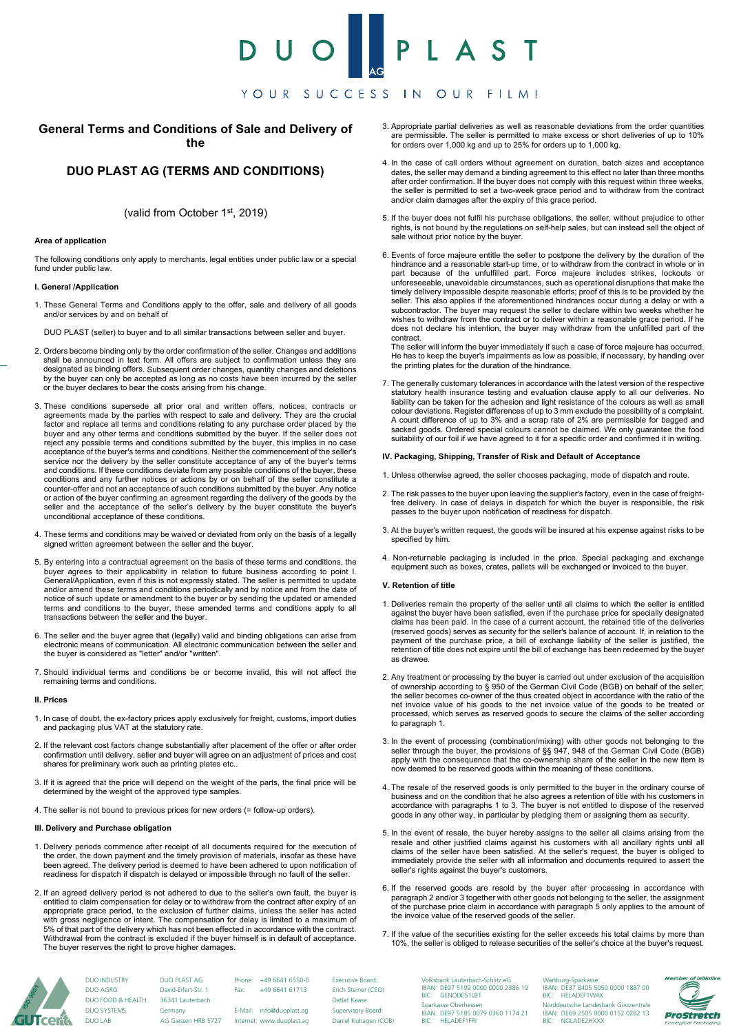# U O PLA YOUR SUCCESS IN OUR FILM!

# **General Terms and Conditions of Sale and Delivery of the**

# **DUO PLAST AG (TERMS AND CONDITIONS)**

# (valid from October 1st, 2019)

#### **Area of application**

The following conditions only apply to merchants, legal entities under public law or a special fund under public law.

#### **I. General /Application**

1. These General Terms and Conditions apply to the offer, sale and delivery of all goods and/or services by and on behalf of

DUO PLAST (seller) to buyer and to all similar transactions between seller and buyer.

- 2. Orders become binding only by the order confirmation of the seller. Changes and additions shall be announced in text form. All offers are subject to confirmation unless they are designated as binding offers. Subsequent order changes, quantity changes and deletions by the buyer can only be accepted as long as no costs have been incurred by the seller or the buyer declares to bear the costs arising from his change.
- 3. These conditions supersede all prior oral and written offers, notices, contracts or agreements made by the parties with respect to sale and delivery. They are the crucial factor and replace all terms and conditions relating to any purchase order placed by the buyer and any other terms and conditions submitted by the buyer. If the seller does not reject any possible terms and conditions submitted by the buyer, this implies in no case acceptance of the buyer's terms and conditions. Neither the commencement of the seller's service nor the delivery by the seller constitute acceptance of any of the buyer's terms and conditions. If these conditions deviate from any possible conditions of the buyer, these conditions and any further notices or actions by or on behalf of the seller constitute a counter-offer and not an acceptance of such conditions submitted by the buyer. Any notice or action of the buyer confirming an agreement regarding the delivery of the goods by the seller and the acceptance of the seller's delivery by the buyer constitute the buyer's unconditional acceptance of these conditions.
- 4. These terms and conditions may be waived or deviated from only on the basis of a legally signed written agreement between the seller and the buyer.
- 5. By entering into a contractual agreement on the basis of these terms and conditions, the buyer agrees to their applicability in relation to future business according to point I. General/Application, even if this is not expressly stated. The seller is permitted to update and/or amend these terms and conditions periodically and by notice and from the date of notice of such update or amendment to the buyer or by sending the updated or amended terms and conditions to the buyer, these amended terms and conditions apply to all transactions between the seller and the buyer.
- 6. The seller and the buyer agree that (legally) valid and binding obligations can arise from electronic means of communication. All electronic communication between the seller and the buyer is considered as "letter" and/or "written".
- 7. Should individual terms and conditions be or become invalid, this will not affect the remaining terms and conditions.

## **II. Prices**

- 1. In case of doubt, the ex-factory prices apply exclusively for freight, customs, import duties and packaging plus VAT at the statutory rate.
- 2. If the relevant cost factors change substantially after placement of the offer or after order confirmation until delivery, seller and buyer will agree on an adjustment of prices and cost shares for preliminary work such as printing plates etc..
- 3. If it is agreed that the price will depend on the weight of the parts, the final price will be determined by the weight of the approved type samples.
- 4. The seller is not bound to previous prices for new orders (= follow-up orders).

# **III. Delivery and Purchase obligation**

DUO LAB

- 1. Delivery periods commence after receipt of all documents required for the execution of the order, the down payment and the timely provision of materials, insofar as these have been agreed. The delivery period is deemed to have been adhered to upon notification of readiness for dispatch if dispatch is delayed or impossible through no fault of the seller.
- 2. If an agreed delivery period is not adhered to due to the seller's own fault, the buyer is entitled to claim compensation for delay or to withdraw from the contract after expiry of an appropriate grace period, to the exclusion of further claims, unless the seller has acted with gross negligence or intent. The compensation for delay is limited to a maximum of 5% of that part of the delivery which has not been effected in accordance with the contract. Withdrawal from the contract is excluded if the buyer himself is in default of acceptance. The buyer reserves the right to prove higher damages.
- 3. Appropriate partial deliveries as well as reasonable deviations from the order quantities are permissible. The seller is permitted to make excess or short deliveries of up to 10% for orders over 1,000 kg and up to 25% for orders up to 1,000 kg.
- 4. In the case of call orders without agreement on duration, batch sizes and acceptance dates, the seller may demand a binding agreement to this effect no later than three months after order confirmation. If the buyer does not comply with this request within three weeks, the seller is permitted to set a two-week grace period and to withdraw from the contract and/or claim damages after the expiry of this grace period.
- 5. If the buyer does not fulfil his purchase obligations, the seller, without prejudice to other rights, is not bound by the regulations on self-help sales, but can instead sell the object of sale without prior notice by the buyer.
- 6. Events of force majeure entitle the seller to postpone the delivery by the duration of the hindrance and a reasonable start-up time, or to withdraw from the contract in whole or in<br>part because of the unfulfilled part. Force majeure includes strikes, lockouts or<br>unforeseeable, unavoidable circumstance timely delivery impossible despite reasonable efforts; proof of this is to be provided by the seller. This also applies if the aforementioned hindrances occur during a delay or with a subcontractor. The buyer may request the seller to declare within two weeks whether he wishes to withdraw from the contract or to deliver within a reasonable grace period. If he does not declare his intention, the buyer may withdraw from the unfulfilled part of the contract.

The seller will inform the buyer immediately if such a case of force majeure has occurred. He has to keep the buyer's impairments as low as possible, if necessary, by handing over the printing plates for the duration of the hindrance.

7. The generally customary tolerances in accordance with the latest version of the respective statutory health insurance testing and evaluation clause apply to all our deliveries. No liability can be taken for the adhesion and light resistance of the colours as well as small<br>colour deviations. Register differences of up to 3 mm exclude the possibility of a complaint.<br>A count difference of up to 3% and sacked goods. Ordered special colours cannot be claimed. We only guarantee the food suitability of our foil if we have agreed to it for a specific order and confirmed it in writing.

### **IV. Packaging, Shipping, Transfer of Risk and Default of Acceptance**

- 1. Unless otherwise agreed, the seller chooses packaging, mode of dispatch and route.
- 2. The risk passes to the buyer upon leaving the supplier's factory, even in the case of freightfree delivery. In case of delays in dispatch for which the buyer is responsible, the risk passes to the buyer upon notification of readiness for dispatch.
- 3. At the buyer's written request, the goods will be insured at his expense against risks to be specified by him.
- 4. Non-returnable packaging is included in the price. Special packaging and exchange equipment such as boxes, crates, pallets will be exchanged or invoiced to the buyer.

#### **V. Retention of title**

- 1. Deliveries remain the property of the seller until all claims to which the seller is entitled against the buyer have been satisfied, even if the purchase price for specially designated claims has been paid. In the case of a current account, the retained title of the deliveries (reserved goods) serves as security for the seller's balance of account. If, in relation to the payment of the purchase price, a bill of exchange liability of the seller is justified, the retention of title does not expire until the bill of exchange has been redeemed by the buyer as drawee.
- 2. Any treatment or processing by the buyer is carried out under exclusion of the acquisition<br>of ownership according to § 950 of the German Civil Code (BGB) on behalf of the seller;<br>the seller becomes co-owner of the thus net invoice value of his goods to the net invoice value of the goods to be treated or processed, which serves as reserved goods to secure the claims of the seller according to paragraph 1.
- 3. In the event of processing (combination/mixing) with other goods not belonging to the seller through the buyer, the provisions of §§ 947, 948 of the German Civil Code (BGB) apply with the consequence that the co-ownersh now deemed to be reserved goods within the meaning of these conditions.
- 4. The resale of the reserved goods is only permitted to the buyer in the ordinary course of business and on the condition that he also agrees a retention of title with his customers in accordance with paragraphs 1 to 3. The buyer is not entitled to dispose of the reserved goods in any other way, in particular by pledging them or assigning them as security.
- 5. In the event of resale, the buyer hereby assigns to the seller all claims arising from the resale and other justified claims against his customers with all ancillary rights until all claims of the seller have been satisfied. At the seller's request, the buyer is obliged to immediately provide the seller with all information and documents required to assert the seller's rights against the buyer's customers.
- 6. If the reserved goods are resold by the buyer after processing in accordance with paragraph 2 and/or 3 together with other goods not belonging to the seller, the assignment of the purchase price claim in accordance with the invoice value of the reserved goods of the seller.
- 7. If the value of the securities existing for the seller exceeds his total claims by more than 10%, the seller is obliged to release securities of the seller's choice at the buyer's request.



DUO PLAST AG David-Eifert-Str. 1 36341 Lauterbach Germany AG Giessen HRB 5727 DUO INDUSTRY DUO AGRO DUO FOOD & HEALTH DUO SYSTEMS

Phone: +49 6641 6550-0 Fax: +49 6641 61713

E-Mail: info@duoplast.ag Internet: www.duoplast.ag Erich Steiner (CEO) Detlef Kaase Supervisory Board: Daniel Kuhagen (COB)

Executive Board:

Volksbank Lauterbach-Schlitz eG IBAN: DE97 5199 0000 0000 2386 19 BIC: GENODE51LB1 Sparkasse Oberhessen IBAN: DE97 5185 0079 0360 1174 21 BIC: HELADEF1FRI Wartburg-Sparkasse IBAN: DE37 8405 5050 0000 1887 00 BIC: HELADEF1WAK Norddeutsche Landesbank Girozentrale IBAN: DE69 2505 0000 0152 0282 13 BIC: NOLADE2HXXX

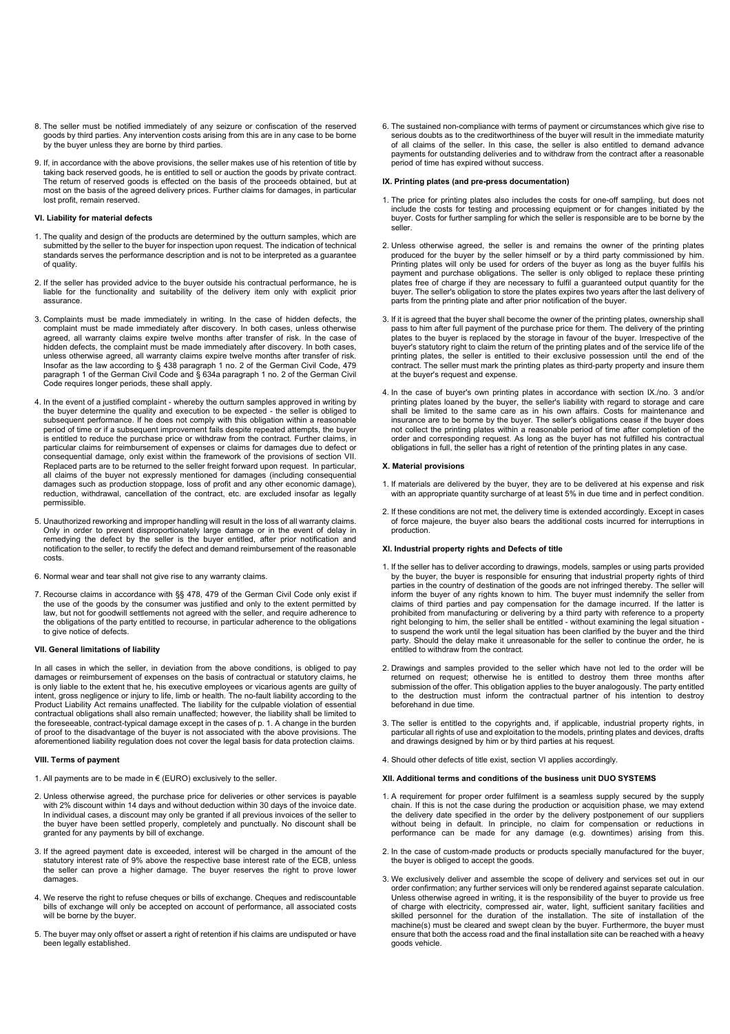- 8. The seller must be notified immediately of any seizure or confiscation of the reserved goods by third parties. Any intervention costs arising from this are in any case to be borne by the buyer unless they are borne by third parties.
- 9. If, in accordance with the above provisions, the seller makes use of his retention of title by taking back reserved goods, he is entitled to sell or auction the goods by private contract. The return of reserved goods is effected on the basis of the proceeds obtained, but at most on the basis of the agreed delivery prices. Further claims for damages, in particular lost profit, remain reserved.

#### **VI. Liability for material defects**

- 1. The quality and design of the products are determined by the outturn samples, which are submitted by the seller to the buyer for inspection upon request. The indication of technical standards serves the performance description and is not to be interpreted as a guarantee of quality.
- 2. If the seller has provided advice to the buyer outside his contractual performance, he is liable for the functionality and suitability of the delivery item only with explicit prior assurance.
- 3. Complaints must be made immediately in writing. In the case of hidden defects, the complaint must be made immediately after discovery. In both cases, unless otherwise agreed, all warranty claims expire twelve months after transfer of risk. In the case of hidden defects, the complaint must be made immediately after discovery. In both cases, unless otherwise agreed, all warranty claims expire twelve months after transfer of risk. Insofar as the law according to § 438 paragraph 1 no. 2 of the German Civil Code, 479 paragraph 1 of the German Civil Code and § 634a paragraph 1 no. 2 of the German Civil Code requires longer periods, these shall apply.
- 4. In the event of a justified complaint whereby the outturn samples approved in writing by the buyer determine the quality and execution to be expected - the seller is obliged to subsequent performance. If he does not comply with this obligation within a reasonable subsequent performance. If he does not comply with this obligation within a reaso period of time or if a subsequent improvement fails despite repeated attempts, the buyer is entitled to reduce the purchase price or withdraw from the contract. Further claims, in particular claims for reimbursement of expenses or claims for damages due to defect or consequential damage, only exist within the framework of the provisions of section VII. Replaced parts are to be returned to the seller freight forward upon request. In particular, all claims of the buyer not expressly mentioned for damages (including consequential damages such as production stoppage, loss of profit and any other economic damage), reduction, withdrawal, cancellation of the contract, etc. are excluded insofar as legally permissible.
- 5. Unauthorized reworking and improper handling will result in the loss of all warranty claims. Only in order to prevent disproportionately large damage or in the event of delay in remedying the defect by the seller is the buyer entitled, after prior notification and notification to the seller, to rectify the defect and demand reimbursement of the reasonable costs.
- 6. Normal wear and tear shall not give rise to any warranty claims.
- 7. Recourse claims in accordance with §§ 478, 479 of the German Civil Code only exist if the use of the goods by the consumer was justified and only to the extent permitted by law, but not for goodwill settlements not agreed with the seller, and require adherence to the obligations of the party entitled to recourse, in particular adherence to the obligations to give notice of defects.

#### **VII. General limitations of liability**

In all cases in which the seller, in deviation from the above conditions, is obliged to pay damages or reimbursement of expenses on the basis of contractual or statutory claims, he is only liable to the extent that he, his executive employees or vicarious agents are guilty of intent, gross negligence or injury to life, limb or health. The no-fault liability according to the Product Liability Act remains unaffected. The liability for the culpable violation of essential contractual obligations shall also remain unaffected; however, the liability shall be limited to the foreseeable, contract-typical damage except in the cases of p. 1. A change in the burden of proof to the disadvantage of the buyer is not associated with the above provisions. The aforementioned liability regulation does not cover the legal basis for data protection claims.

#### **VIII. Terms of payment**

- 1. All payments are to be made in € (EURO) exclusively to the seller.
- 2. Unless otherwise agreed, the purchase price for deliveries or other services is payable with 2% discount within 14 days and without deduction within 30 days of the invoice date. In individual cases, a discount may only be granted if all previous invoices of the seller to the buyer have been settled properly, completely and punctually. No discount shall be granted for any payments by bill of exchange.
- 3. If the agreed payment date is exceeded, interest will be charged in the amount of the statutory interest rate of 9% above the respective base interest rate of the ECB, unless the seller can prove a higher damage. The buyer reserves the right to prove lower damages.
- 4. We reserve the right to refuse cheques or bills of exchange. Cheques and rediscountable bills of exchange will only be accepted on account of performance, all associated costs will be borne by the buyer
- 5. The buyer may only offset or assert a right of retention if his claims are undisputed or have been legally established.

6. The sustained non-compliance with terms of payment or circumstances which give rise to serious doubts as to the creditworthiness of the buyer will result in the immediate maturity of all claims of the seller. In this case, the seller is also entitled to demand advance payments for outstanding deliveries and to withdraw from the contract after a reasonable period of time has expired without success.

#### **IX. Printing plates (and pre-press documentation)**

- 1. The price for printing plates also includes the costs for one-off sampling, but does not include the costs for testing and processing equipment or for changes initiated by the buyer. Costs for further sampling for which the seller is responsible are to be borne by the seller.
- 2. Unless otherwise agreed, the seller is and remains the owner of the printing plates produced for the buyer by the seller himself or by a third party commissioned by him. Printing plates will only be used for orders of the buyer as long as the buyer fulfils his<br>payment and purchase obligations. The seller is only obliged to replace these printing<br>plates free of charge if they are necessary buyer. The seller's obligation to store the plates expires two years after the last delivery of parts from the printing plate and after prior notification of the buyer.
- 3. If it is agreed that the buyer shall become the owner of the printing plates, ownership shall pass to him after full payment of the purchase price for them. The delivery of the printing plates to the buyer is replaced by the storage in favour of the buyer. Irrespective of the buyer's statutory right to claim the return of the printing plates and of the service life of the printing plates, the seller is entitled to their exclusive possession until the end of the contract. The seller must mark the printing plates as third-party property and insure them at the buyer's request and expense.
- 4. In the case of buyer's own printing plates in accordance with section IX./no. 3 and/or printing plates loaned by the buyer, the seller's liability with regard to storage and care shall be limited to the same care as in his own affairs. Costs for maintenance and insurance are to be borne by the buyer. The seller's obligations cease if the buyer does not collect the printing plates within a reasonable period of time after completion of the order and corresponding request. As long as the buyer has not fulfilled his contractual obligations in full, the seller has a right of retention of the printing plates in any case.

#### **X. Material provisions**

- 1. If materials are delivered by the buyer, they are to be delivered at his expense and risk with an appropriate quantity surcharge of at least 5% in due time and in perfect condition.
- 2. If these conditions are not met, the delivery time is extended accordingly. Except in cases of force majeure, the buyer also bears the additional costs incurred for interruptions in production.

#### **XI. Industrial property rights and Defects of title**

- 1. If the seller has to deliver according to drawings, models, samples or using parts provided by the buyer, the buyer is responsible for ensuring that industrial property rights of third parties in the country of destination of the goods are not infringed thereby. The seller will inform the buyer of any rights known to him. The buyer must indemnify the seller from claims of third parties and pay compensation for the damage incurred. If the latter is prohibited from manufacturing or delivering by a third party with reference to a property right belonging to him, the seller shall be entitled - without examining the legal situation - to suspend the work until the legal situation has been clarified by the buyer and the third party. Should the delay make it unreasonable for the seller to continue the order, he is entitled to withdraw from the contract.
- 2. Drawings and samples provided to the seller which have not led to the order will be returned on request; otherwise he is entitled to destroy them three months after submission of the offer. This obligation applies to the buyer analogously. The party entitled to the destruction must inform the contractual partner of his intention to destroy beforehand in due time.
- 3. The seller is entitled to the copyrights and, if applicable, industrial property rights, in particular all rights of use and exploitation to the models, printing plates and devices, drafts and drawings designed by him or by third parties at his request.
- 4. Should other defects of title exist, section VI applies accordingly.

#### **XII. Additional terms and conditions of the business unit DUO SYSTEMS**

- 1. A requirement for proper order fulfilment is a seamless supply secured by the supply chain. If this is not the case during the production or acquisition phase, we may extend the delivery date specified in the order by the delivery postponement of our suppliers without being in default. In principle, no claim for compensation or reductions in performance can be made for any damage (e.g. downtimes) arising from this.
- 2. In the case of custom-made products or products specially manufactured for the buyer, the buyer is obliged to accept the goods.
- 3. We exclusively deliver and assemble the scope of delivery and services set out in our order confirmation; any further services will only be rendered against separate calculation. Unless otherwise agreed in writing, it is the responsibility of the buyer to provide us free of charge with electricity, compressed air, water, light, sufficient sanitary facilities and skilled personnel for the duration of the installation. The site of installation of the machine(s) must be cleared and swept clean by the buyer. Furthermore, the buyer must ensure that both the access road and the final installation site can be reached with a heavy goods vehicle.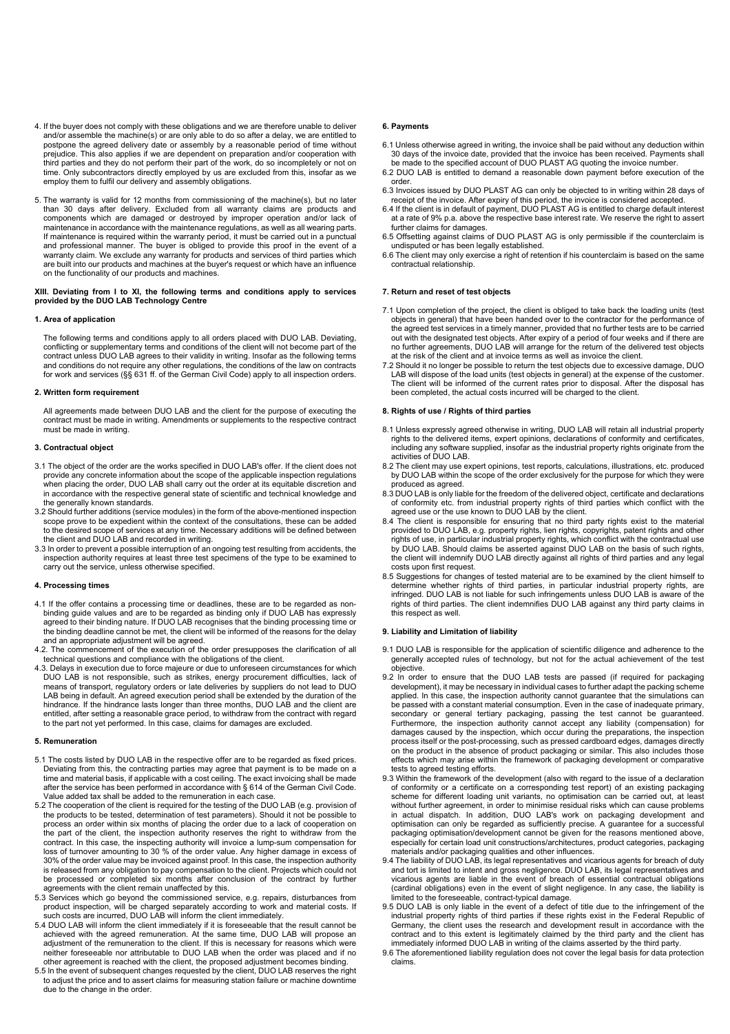- 4. If the buyer does not comply with these obligations and we are therefore unable to deliver and/or assemble the machine(s) or are only able to do so after a delay, we are entitled to postpone the agreed delivery date or assembly by a reasonable period of time without<br>prejudice. This also applies if we are dependent on preparation and/or cooperation with<br>third parties and they do not perform their part time. Only subcontractors directly employed by us are excluded from this, insofar as we employ them to fulfil our delivery and assembly obligations.
- 5. The warranty is valid for 12 months from commissioning of the machine(s), but no later than 30 days after delivery. Excluded from all warranty claims are products and components which are damaged or destroyed by improper operation and/or lack of maintenance in accordance with the maintenance regulations, as well as all wearing parts. If maintenance is required within the warranty period, it must be carried out in a punctual<br>and professional manner. The buyer is obliged to provide this proof in the event of a<br>warranty claim. We exclude any warranty for are built into our products and machines at the buyer's request or which have an influence on the functionality of our products and machines.

# **XIII. Deviating from I to XI, the following terms and conditions apply to services provided by the DUO LAB Technology Centre**

#### **1. Area of application**

The following terms and conditions apply to all orders placed with DUO LAB. Deviating, conflicting or supplementary terms and conditions of the client will not become part of the<br>contract unless DUO LAB agrees to their validity in writing. Insofar as the following terms<br>and conditions do not require any othe for work and services (§§ 631 ff. of the German Civil Code) apply to all inspection orders.

#### **2. Written form requirement**

All agreements made between DUO LAB and the client for the purpose of executing the contract must be made in writing. Amendments or supplements to the respective contract must be made in writing.

#### **3. Contractual object**

- 3.1 The object of the order are the works specified in DUO LAB's offer. If the client does not provide any concrete information about the scope of the applicable inspection regulations when placing the order, DUO LAB shall carry out the order at its equitable discretion and in accordance with the respective general state of scientific and technical knowledge and the generally known standards.
- 3.2 Should further additions (service modules) in the form of the above-mentioned inspection scope prove to be expedient within the context of the consultations, these can be added to the desired scope of services at any time. Necessary additions will be defined between
- the client and DUO LAB and recorded in writing. 3.3 In order to prevent a possible interruption of an ongoing test resulting from accidents, the inspection authority requires at least three test specimens of the type to be examined to carry out the service, unless otherwise specified.

#### **4. Processing times**

- 4.1 If the offer contains a processing time or deadlines, these are to be regarded as nonbinding guide values and are to be regarded as binding only if DUO LAB has expressly agreed to their binding nature. If DUO LAB recognises that the binding processing time or the binding deadline cannot be met, the client will be informed of the reasons for the delay and an appropriate adjustment will be agreed.
- 4.2. The commencement of the execution of the order presupposes the clarification of all technical questions and compliance with the obligations of the client.
- 4.3. Delays in execution due to force majeure or due to unforeseen circumstances for which DUO LAB is not responsible, such as strikes, energy procurement difficulties, lack of<br>means of transport, regulatory orders or late deliveries by suppliers do not lead to DUO<br>LAB being in default. An agreed execution perio hindrance. If the hindrance lasts longer than three months, DUO LAB and the client are entitled, after setting a reasonable grace period, to withdraw from the contract with regard to the part not yet performed. In this case, claims for damages are excluded.

#### **5. Remuneration**

- 5.1 The costs listed by DUO LAB in the respective offer are to be regarded as fixed prices. Deviating from this, the contracting parties may agree that payment is to be made on a time and material basis, if applicable with a cost ceiling. The exact invoicing shall be made after the service has been performed in accordance with § 614 of the German Civil Code. Value added tax shall be added to the remuneration in each case.
- 5.2 The cooperation of the client is required for the testing of the DUO LAB (e.g. provision of the products to be tested, determination of test parameters). Should it not be possible to process an order within six months of placing the order due to a lack of cooperation on the part of the client, the inspection authority reserves the right to withdraw from the contract. In this case, the inspecting authority will invoice a lump-sum compensation for loss of turnover amounting to 30 % of the order value. Any higher damage in excess of 30% of the order value may be invoiced against proof. In this case, the inspection authority is released from any obligation to pay compensation to the client. Projects which could not be processed or completed six months after conclusion of the contract by further agreements with the client remain unaffected by this.
- 5.3 Services which go beyond the commissioned service, e.g. repairs, disturbances from product inspection, will be charged separately according to work and material costs. If such costs are incurred, DUO LAB will inform the client immediately.
- 5.4 DUO LAB will inform the client immediately if it is foreseeable that the result cannot be achieved with the agreed remuneration. At the same time, DUO LAB will propose an adjustment of the remuneration to the client. If this is necessary for reasons which were neither foreseeable nor attributable to DUO LAB when the order was placed and if no other agreement is reached with the client, the proposed adjustment becomes binding.
- 5.5 In the event of subsequent changes requested by the client, DUO LAB reserves the right to adjust the price and to assert claims for measuring station failure or machine downtime due to the change in the order.

#### **6. Payments**

- 6.1 Unless otherwise agreed in writing, the invoice shall be paid without any deduction within 30 days of the invoice date, provided that the invoice has been received. Payments shall be made to the specified account of DUO PLAST AG quoting the invoice number.
- 6.2 DUO LAB is entitled to demand a reasonable down payment before execution of the order.
- 6.3 Invoices issued by DUO PLAST AG can only be objected to in writing within 28 days of receipt of the invoice. After expiry of this period, the invoice is considered accepted.
- 6.4 If the client is in default of payment, DUO PLAST AG is entitled to charge default interest at a rate of 9% p.a. above the respective base interest rate. We reserve the right to assert further claims for damages.
- 6.5 Offsetting against claims of DUO PLAST AG is only permissible if the counterclaim is undisputed or has been legally established.
- 6.6 The client may only exercise a right of retention if his counterclaim is based on the same contractual relationship.

#### **7. Return and reset of test objects**

- 7.1 Upon completion of the project, the client is obliged to take back the loading units (test objects in general) that have been handed over to the contractor for the performance of the agreed test services in a timely manner, provided that no further tests are to be carried out with the designated test objects. After expiry of a period of four weeks and if there are no further agreements, DUO LAB will arrange for the return of the delivered test objects at the risk of the client and at invoice terms as well as invoice the client.
- 7.2 Should it no longer be possible to return the test objects due to excessive damage, DUO LAB will dispose of the load units (test objects in general) at the expense of the customer. The client will be informed of the current rates prior to disposal. After the disposal has been completed, the actual costs incurred will be charged to the client.

#### **8. Rights of use / Rights of third parties**

- 8.1 Unless expressly agreed otherwise in writing, DUO LAB will retain all industrial property rights to the delivered items, expert opinions, declarations of conformity and certificates,<br>including any software supplied, insofar as the industrial property rights originate from the activities of DUO LAB.
- 8.2 The client may use expert opinions, test reports, calculations, illustrations, etc. produced by DUO LAB within the scope of the order exclusively for the purpose for which they were produced as agreed.
- 8.3 DUO LAB is only liable for the freedom of the delivered object, certificate and declarations of conformity etc. from industrial property rights of third parties which conflict with the<br>agreed use or the use known to DUO LAB by the client.<br>8.4 The client is responsible for ensuring that no third party rights exist
- provided to DUO LAB, e.g. property rights, lien rights, copyrights, patent rights and other rights of use, in particular industrial property rights, which conflict with the contractual use by DUO LAB. Should claims be asserted against DUO LAB on the basis of such rights, the client will indemnify DUO LAB directly against all rights of third parties and any legal costs upon first request.
- 8.5 Suggestions for changes of tested material are to be examined by the client himself to determine whether rights of third parties, in particular industrial property rights, are infringed. DUO LAB is not liable for such infringements unless DUO LAB is aware of the rights of third parties. The client indemnifies DUO LAB against any third party claims in this respect as well.

#### **9. Liability and Limitation of liability**

- 9.1 DUO LAB is responsible for the application of scientific diligence and adherence to the generally accepted rules of technology, but not for the actual achievement of the test ر<br>objective
- 9.2 In order to ensure that the DUO LAB tests are passed (if required for packaging development), it may be necessary in individual cases to further adapt the packing scheme applied. In this case, the inspection authority cannot guarantee that the simulations can be passed with a constant material consumption. Even in the case of inadequate primary, secondary or general tertiary packaging, passing the test cannot be guaranteed. Furthermore, the inspection authority cannot accept any liability (compensation) for damages caused by the inspection, which occur during the preparations, the inspection process itself or the post-processing, such as pressed cardboard edges, damages directly on the product in the absence of product packaging or similar. This also includes those effects which may arise within the framework of packaging development or comparative tests to agreed testing efforts.
- 9.3 Within the framework of the development (also with regard to the issue of a declaration of conformity or a certificate on a corresponding test report) of an existing packaging scheme for different loading unit variants, no optimisation can be carried out, at least without further agreement, in order to minimise residual risks which can cause problems<br>in actual dispatch. In addition, DUO LAB's work on packaging development and<br>optimisation can only be regarded as sufficien packaging optimisation/development cannot be given for the reasons mentioned above, especially for certain load unit constructions/architectures, product categories, packaging materials and/or packaging qualities and other influences.
- 9.4 The liability of DUO LAB, its legal representatives and vicarious agents for breach of duty and tort is limited to intent and gross negligence. DUO LAB, its legal representatives and vicarious agents are liable in the event of breach of essential contractual obligations (cardinal obligations) even in the event of slight negligence. In any case, the liability is
- limited to the foreseeable, contract-typical damage. 9.5 DUO LAB is only liable in the event of a defect of title due to the infringement of the industrial property rights of third parties if these rights exist in the Federal Republic of Germany, the client uses the research and development result in accordance with the contract and to this extent is legitimately claimed by the third party and the client has immediately informed DUO LAB in writing of the claims asserted by the third party.
- 9.6 The aforementioned liability regulation does not cover the legal basis for data protection claims.